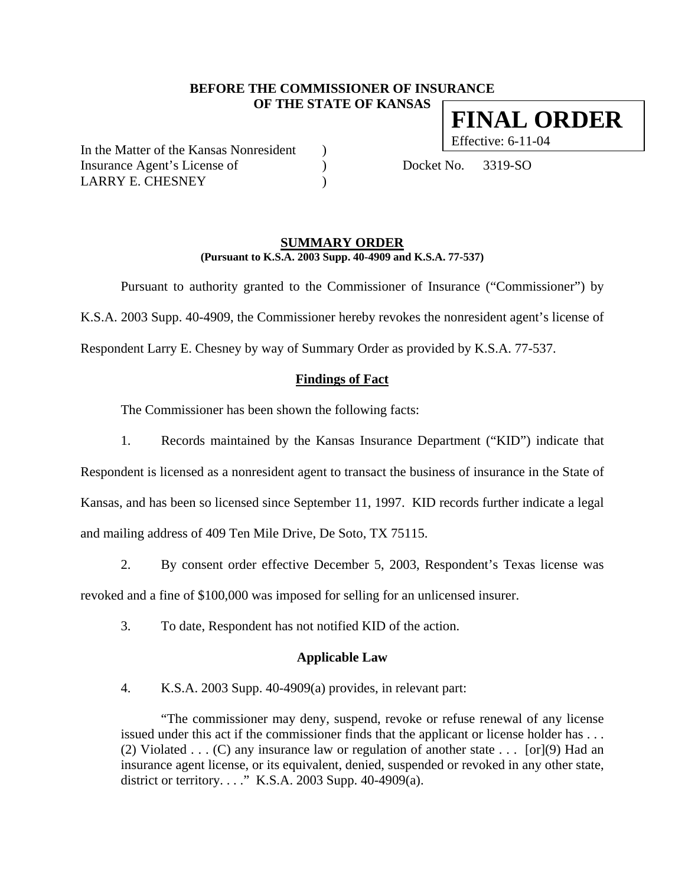## **BEFORE THE COMMISSIONER OF INSURANCE OF THE STATE OF KANSAS FINAL ORDER**

In the Matter of the Kansas Nonresident ) Insurance Agent's License of (a) Docket No. 3319-SO LARRY E. CHESNEY (1998)

Effective: 6-11-04

#### **SUMMARY ORDER (Pursuant to K.S.A. 2003 Supp. 40-4909 and K.S.A. 77-537)**

 Pursuant to authority granted to the Commissioner of Insurance ("Commissioner") by K.S.A. 2003 Supp. 40-4909, the Commissioner hereby revokes the nonresident agent's license of Respondent Larry E. Chesney by way of Summary Order as provided by K.S.A. 77-537.

## **Findings of Fact**

The Commissioner has been shown the following facts:

- 1. Records maintained by the Kansas Insurance Department ("KID") indicate that Respondent is licensed as a nonresident agent to transact the business of insurance in the State of Kansas, and has been so licensed since September 11, 1997. KID records further indicate a legal and mailing address of 409 Ten Mile Drive, De Soto, TX 75115.
- 2. By consent order effective December 5, 2003, Respondent's Texas license was revoked and a fine of \$100,000 was imposed for selling for an unlicensed insurer.
	- 3. To date, Respondent has not notified KID of the action.

## **Applicable Law**

4. K.S.A. 2003 Supp. 40-4909(a) provides, in relevant part:

"The commissioner may deny, suspend, revoke or refuse renewal of any license issued under this act if the commissioner finds that the applicant or license holder has . . . (2) Violated  $\dots$  (C) any insurance law or regulation of another state  $\dots$  [or](9) Had an insurance agent license, or its equivalent, denied, suspended or revoked in any other state, district or territory. . . ." K.S.A. 2003 Supp. 40-4909(a).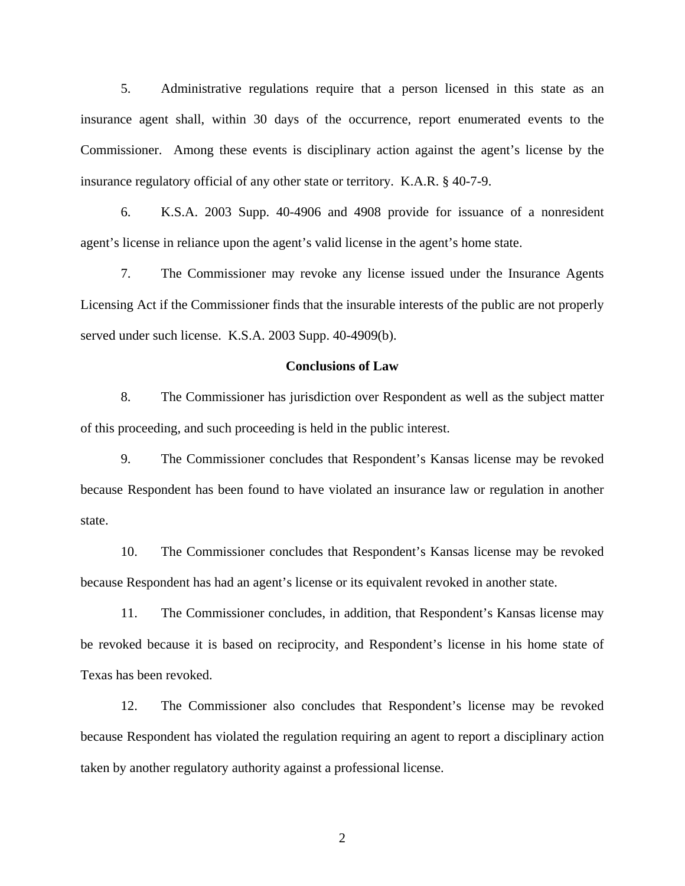5. Administrative regulations require that a person licensed in this state as an insurance agent shall, within 30 days of the occurrence, report enumerated events to the Commissioner. Among these events is disciplinary action against the agent's license by the insurance regulatory official of any other state or territory. K.A.R. § 40-7-9.

6. K.S.A. 2003 Supp. 40-4906 and 4908 provide for issuance of a nonresident agent's license in reliance upon the agent's valid license in the agent's home state.

7. The Commissioner may revoke any license issued under the Insurance Agents Licensing Act if the Commissioner finds that the insurable interests of the public are not properly served under such license. K.S.A. 2003 Supp. 40-4909(b).

#### **Conclusions of Law**

8. The Commissioner has jurisdiction over Respondent as well as the subject matter of this proceeding, and such proceeding is held in the public interest.

9. The Commissioner concludes that Respondent's Kansas license may be revoked because Respondent has been found to have violated an insurance law or regulation in another state.

10. The Commissioner concludes that Respondent's Kansas license may be revoked because Respondent has had an agent's license or its equivalent revoked in another state.

11. The Commissioner concludes, in addition, that Respondent's Kansas license may be revoked because it is based on reciprocity, and Respondent's license in his home state of Texas has been revoked.

12. The Commissioner also concludes that Respondent's license may be revoked because Respondent has violated the regulation requiring an agent to report a disciplinary action taken by another regulatory authority against a professional license.

2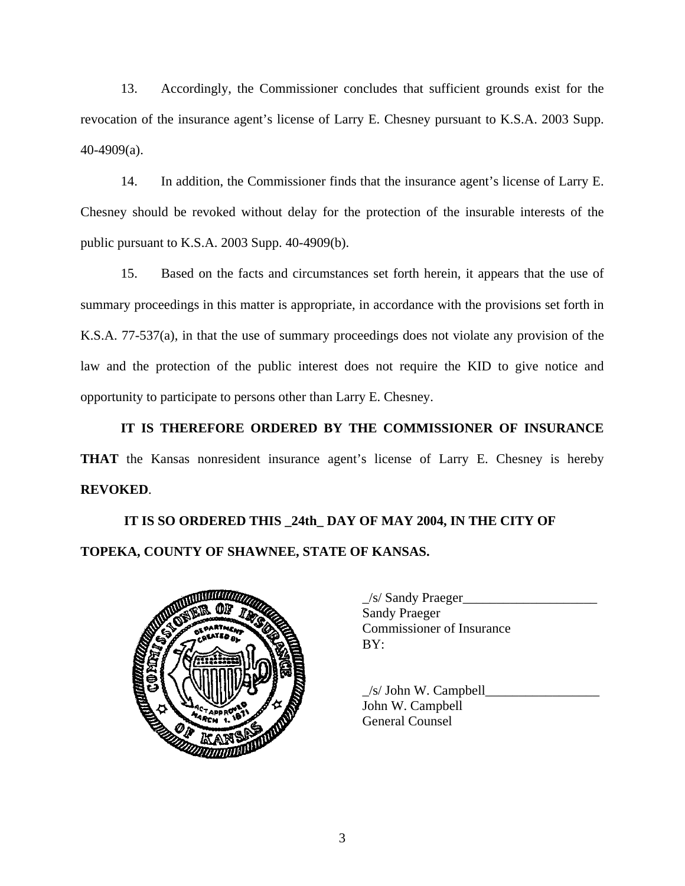13. Accordingly, the Commissioner concludes that sufficient grounds exist for the revocation of the insurance agent's license of Larry E. Chesney pursuant to K.S.A. 2003 Supp. 40-4909(a).

14. In addition, the Commissioner finds that the insurance agent's license of Larry E. Chesney should be revoked without delay for the protection of the insurable interests of the public pursuant to K.S.A. 2003 Supp. 40-4909(b).

15. Based on the facts and circumstances set forth herein, it appears that the use of summary proceedings in this matter is appropriate, in accordance with the provisions set forth in K.S.A. 77-537(a), in that the use of summary proceedings does not violate any provision of the law and the protection of the public interest does not require the KID to give notice and opportunity to participate to persons other than Larry E. Chesney.

**IT IS THEREFORE ORDERED BY THE COMMISSIONER OF INSURANCE THAT** the Kansas nonresident insurance agent's license of Larry E. Chesney is hereby **REVOKED**.

# **IT IS SO ORDERED THIS \_24th\_ DAY OF MAY 2004, IN THE CITY OF TOPEKA, COUNTY OF SHAWNEE, STATE OF KANSAS.**



| <b>Sandy Praeger</b>             |
|----------------------------------|
|                                  |
| <b>Commissioner of Insurance</b> |
| BY:                              |

 $\angle$ s/ John W. Campbell $\Box$ John W. Campbell General Counsel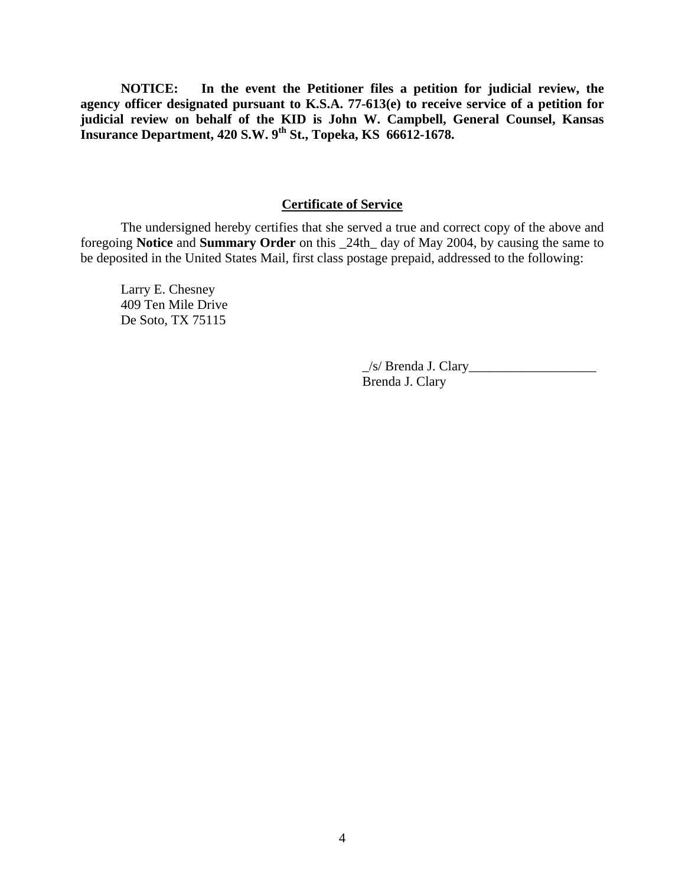**NOTICE: In the event the Petitioner files a petition for judicial review, the agency officer designated pursuant to K.S.A. 77-613(e) to receive service of a petition for judicial review on behalf of the KID is John W. Campbell, General Counsel, Kansas Insurance Department, 420 S.W. 9th St., Topeka, KS 66612-1678.** 

#### **Certificate of Service**

 The undersigned hereby certifies that she served a true and correct copy of the above and foregoing **Notice** and **Summary Order** on this \_24th\_ day of May 2004, by causing the same to be deposited in the United States Mail, first class postage prepaid, addressed to the following:

 Larry E. Chesney 409 Ten Mile Drive De Soto, TX 75115

> $\angle$ s/ Brenda J. Clary $\angle$ Brenda J. Clary